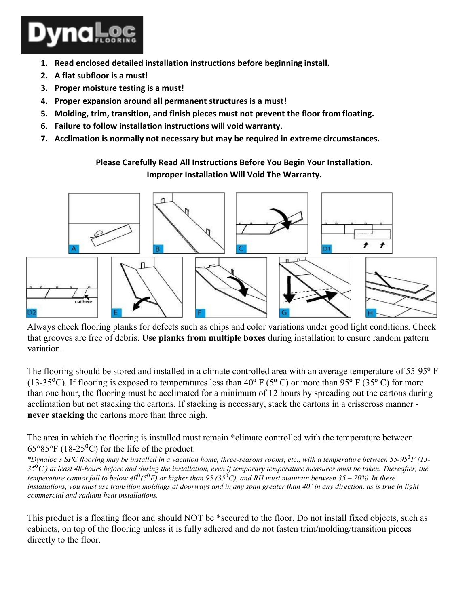

- **1. Read enclosed detailed installation instructions before beginning install.**
- **2. A flat subfloor is a must!**
- **3. Proper moisture testing is a must!**
- **4. Proper expansion around all permanent structures is a must!**
- **5. Molding, trim, transition, and finish pieces must not prevent the floor from floating.**
- **6. Failure to follow installation instructions will void warranty.**
- **7. Acclimation is normally not necessary but may be required in extreme circumstances.**

**Please Carefully Read All Instructions Before You Begin Your Installation. Improper Installation Will Void The Warranty.**



Always check flooring planks for defects such as chips and color variations under good light conditions. Check that grooves are free of debris. **Use planks from multiple boxes** during installation to ensure random pattern variation.

The flooring should be stored and installed in a climate controlled area with an average temperature of 55-95<sup>°</sup> F (13-35<sup>o</sup>C). If flooring is exposed to temperatures less than 40<sup>o</sup> F (5<sup>o</sup>C) or more than 95<sup>o</sup> F (35<sup>o</sup>C) for more than one hour, the flooring must be acclimated for a minimum of 12 hours by spreading out the cartons during acclimation but not stacking the cartons. If stacking is necessary, stack the cartons in a crisscross manner **never stacking** the cartons more than three high.

The area in which the flooring is installed must remain \*climate controlled with the temperature between  $65^{\circ}85^{\circ}F$  (18-25<sup>o</sup>C) for the life of the product.

*\*Dynaloc's SPC flooring may be installed in a vacation home, three-seasons rooms, etc., with a temperature between 55-95*⁰*F (13- 35*⁰*C ) at least 48-hours before and during the installation, even if temporary temperature measures must be taken. Thereafter, the temperature cannot fall to below 40<sup>°</sup>(* $5$ *<sup>°</sup>F) or higher than 95 (* $35$ *<sup>°</sup>C), and RH must maintain between 35 – 70%. In these installations, you must use transition moldings at doorways and in any span greater than 40' in any direction, as is true in light commercial and radiant heat installations.*

This product is a floating floor and should NOT be \*secured to the floor. Do not install fixed objects, such as cabinets, on top of the flooring unless it is fully adhered and do not fasten trim/molding/transition pieces directly to the floor.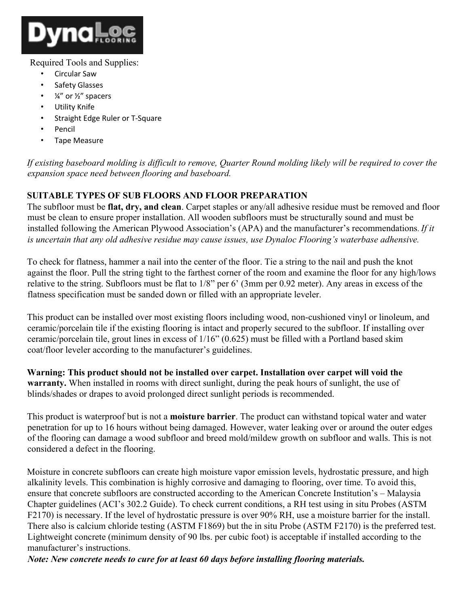

#### Required Tools and Supplies:

- Circular Saw
- Safety Glasses
- $\frac{1}{4}$ " or  $\frac{1}{2}$ " spacers
- **Utility Knife**
- Straight Edge Ruler or T-Square
- Pencil
- Tape Measure

*If existing baseboard molding is difficult to remove, Quarter Round molding likely will be required to cover the expansion space need between flooring and baseboard.*

# **SUITABLE TYPES OF SUB FLOORS AND FLOOR PREPARATION**

The subfloor must be **flat, dry, and clean**. Carpet staples or any/all adhesive residue must be removed and floor must be clean to ensure proper installation. All wooden subfloors must be structurally sound and must be installed following the American Plywood Association's (APA) and the manufacturer's recommendations. *If it is uncertain that any old adhesive residue may cause issues, use Dynaloc Flooring's waterbase adhensive.*

To check for flatness, hammer a nail into the center of the floor. Tie a string to the nail and push the knot against the floor. Pull the string tight to the farthest corner of the room and examine the floor for any high/lows relative to the string. Subfloors must be flat to 1/8" per 6' (3mm per 0.92 meter). Any areas in excess of the flatness specification must be sanded down or filled with an appropriate leveler.

This product can be installed over most existing floors including wood, non-cushioned vinyl or linoleum, and ceramic/porcelain tile if the existing flooring is intact and properly secured to the subfloor. If installing over ceramic/porcelain tile, grout lines in excess of 1/16" (0.625) must be filled with a Portland based skim coat/floor leveler according to the manufacturer's guidelines.

**Warning: This product should not be installed over carpet. Installation over carpet will void the warranty.** When installed in rooms with direct sunlight, during the peak hours of sunlight, the use of blinds/shades or drapes to avoid prolonged direct sunlight periods is recommended.

This product is waterproof but is not a **moisture barrier**. The product can withstand topical water and water penetration for up to 16 hours without being damaged. However, water leaking over or around the outer edges of the flooring can damage a wood subfloor and breed mold/mildew growth on subfloor and walls. This is not considered a defect in the flooring.

Moisture in concrete subfloors can create high moisture vapor emission levels, hydrostatic pressure, and high alkalinity levels. This combination is highly corrosive and damaging to flooring, over time. To avoid this, ensure that concrete subfloors are constructed according to the American Concrete Institution's – Malaysia Chapter guidelines (ACI's 302.2 Guide). To check current conditions, a RH test using in situ Probes (ASTM F2170) is necessary. If the level of hydrostatic pressure is over 90% RH, use a moisture barrier for the install. There also is calcium chloride testing (ASTM F1869) but the in situ Probe (ASTM F2170) is the preferred test. Lightweight concrete (minimum density of 90 lbs. per cubic foot) is acceptable if installed according to the manufacturer's instructions.

*Note: New concrete needs to cure for at least 60 days before installing flooring materials.*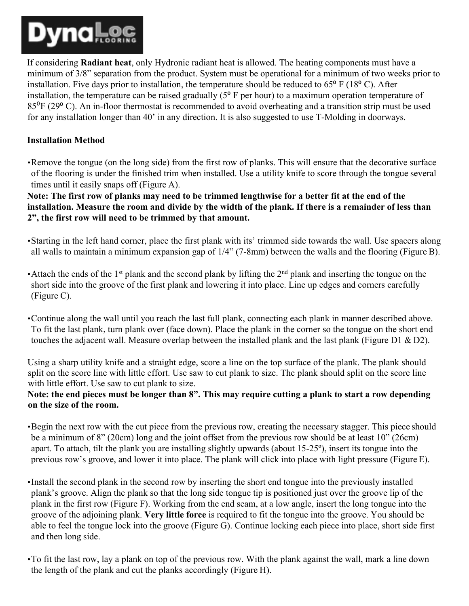

If considering **Radiant heat**, only Hydronic radiant heat is allowed. The heating components must have a minimum of 3/8" separation from the product. System must be operational for a minimum of two weeks prior to installation. Five days prior to installation, the temperature should be reduced to  $65^{\circ}$  F (18 $^{\circ}$  C). After installation, the temperature can be raised gradually  $(5<sup>o</sup> F per hour)$  to a maximum operation temperature of 85⁰F (29⁰ C). An in-floor thermostat is recommended to avoid overheating and a transition strip must be used for any installation longer than 40' in any direction. It is also suggested to use T-Molding in doorways.

#### **Installation Method**

•Remove the tongue (on the long side) from the first row of planks. This will ensure that the decorative surface of the flooring is under the finished trim when installed. Use a utility knife to score through the tongue several times until it easily snaps off (Figure A).

**Note: The first row of planks may need to be trimmed lengthwise for a better fit at the end of the installation. Measure the room and divide by the width of the plank. If there is a remainder of less than 2", the first row will need to be trimmed by that amount.**

- •Starting in the left hand corner, place the first plank with its' trimmed side towards the wall. Use spacers along all walls to maintain a minimum expansion gap of 1/4" (7-8mm) between the walls and the flooring (Figure B).
- Attach the ends of the 1<sup>st</sup> plank and the second plank by lifting the  $2<sup>nd</sup>$  plank and inserting the tongue on the short side into the groove of the first plank and lowering it into place. Line up edges and corners carefully (Figure C).
- •Continue along the wall until you reach the last full plank, connecting each plank in manner described above. To fit the last plank, turn plank over (face down). Place the plank in the corner so the tongue on the short end touches the adjacent wall. Measure overlap between the installed plank and the last plank (Figure D1 & D2).

Using a sharp utility knife and a straight edge, score a line on the top surface of the plank. The plank should split on the score line with little effort. Use saw to cut plank to size. The plank should split on the score line with little effort. Use saw to cut plank to size.

#### **Note: the end pieces must be longer than 8". This may require cutting a plank to start a row depending on the size of the room.**

•Begin the next row with the cut piece from the previous row, creating the necessary stagger. This piece should be a minimum of 8" (20cm) long and the joint offset from the previous row should be at least 10" (26cm) apart. To attach, tilt the plank you are installing slightly upwards (about 15-25º), insert its tongue into the previous row's groove, and lower it into place. The plank will click into place with light pressure (Figure E).

- •Install the second plank in the second row by inserting the short end tongue into the previously installed plank's groove. Align the plank so that the long side tongue tip is positioned just over the groove lip of the plank in the first row (Figure F). Working from the end seam, at a low angle, insert the long tongue into the groove of the adjoining plank. **Very little force** is required to fit the tongue into the groove. You should be able to feel the tongue lock into the groove (Figure G). Continue locking each piece into place, short side first and then long side.
- •To fit the last row, lay a plank on top of the previous row. With the plank against the wall, mark a line down the length of the plank and cut the planks accordingly (Figure H).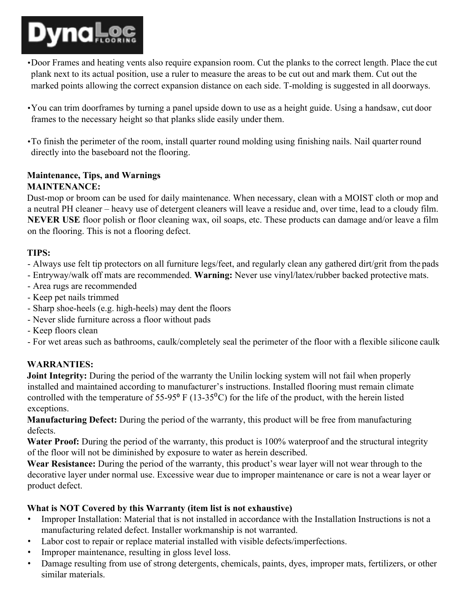

- •Door Frames and heating vents also require expansion room. Cut the planks to the correct length. Place the cut plank next to its actual position, use a ruler to measure the areas to be cut out and mark them. Cut out the marked points allowing the correct expansion distance on each side. T-molding is suggested in all doorways.
- •You can trim doorframes by turning a panel upside down to use as a height guide. Using a handsaw, cut door frames to the necessary height so that planks slide easily under them.

•To finish the perimeter of the room, install quarter round molding using finishing nails. Nail quarter round directly into the baseboard not the flooring.

## **Maintenance, Tips, and Warnings MAINTENANCE:**

Dust-mop or broom can be used for daily maintenance. When necessary, clean with a MOIST cloth or mop and a neutral PH cleaner – heavy use of detergent cleaners will leave a residue and, over time, lead to a cloudy film. **NEVER USE** floor polish or floor cleaning wax, oil soaps, etc. These products can damage and/or leave a film on the flooring. This is not a flooring defect.

## **TIPS:**

- Always use felt tip protectors on all furniture legs/feet, and regularly clean any gathered dirt/grit from the pads
- Entryway/walk off mats are recommended. **Warning:** Never use vinyl/latex/rubber backed protective mats.
- Area rugs are recommended
- Keep pet nails trimmed
- Sharp shoe-heels (e.g. high-heels) may dent the floors
- Never slide furniture across a floor without pads
- Keep floors clean
- For wet areas such as bathrooms, caulk/completely seal the perimeter of the floor with a flexible silicone caulk

## **WARRANTIES:**

**Joint Integrity:** During the period of the warranty the Unilin locking system will not fail when properly installed and maintained according to manufacturer's instructions. Installed flooring must remain climate controlled with the temperature of 55-95 $\degree$  F (13-35 $\degree$ C) for the life of the product, with the herein listed exceptions.

**Manufacturing Defect:** During the period of the warranty, this product will be free from manufacturing defects.

Water Proof: During the period of the warranty, this product is 100% waterproof and the structural integrity of the floor will not be diminished by exposure to water as herein described.

**Wear Resistance:** During the period of the warranty, this product's wear layer will not wear through to the decorative layer under normal use. Excessive wear due to improper maintenance or care is not a wear layer or product defect.

#### **What is NOT Covered by this Warranty (item list is not exhaustive)**

- Improper Installation: Material that is not installed in accordance with the Installation Instructions is not a manufacturing related defect. Installer workmanship is not warranted.
- Labor cost to repair or replace material installed with visible defects/imperfections.
- Improper maintenance, resulting in gloss level loss.
- Damage resulting from use of strong detergents, chemicals, paints, dyes, improper mats, fertilizers, or other similar materials.